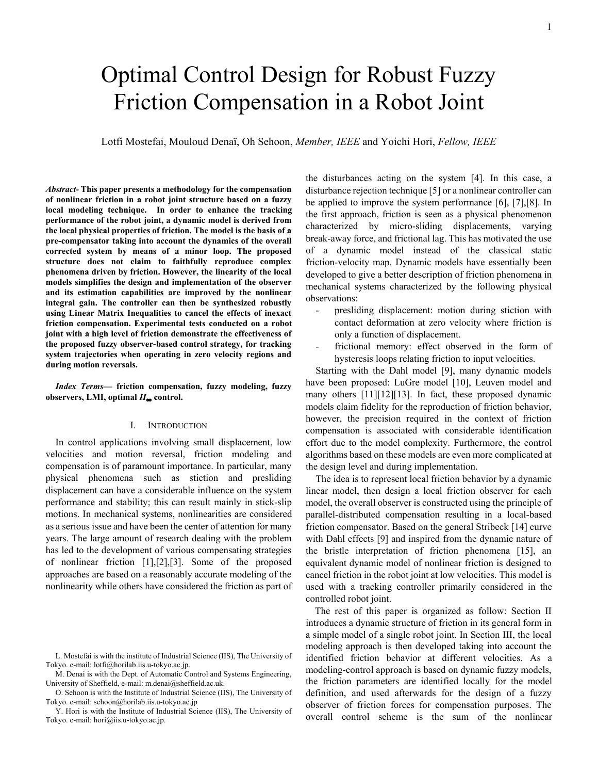# Optimal Control Design for Robust Fuzzy Friction Compensation in a Robot Joint

Lotfi Mostefai, Mouloud Denaï, Oh Sehoon, *Member, IEEE* and Yoichi Hori, *Fellow, IEEE*

*Abstract-* **This paper presents a methodology for the compensation of nonlinear friction in a robot joint structure based on a fuzzy local modeling technique. In order to enhance the tracking performance of the robot joint, a dynamic model is derived from the local physical properties of friction. The model is the basis of a pre-compensator taking into account the dynamics of the overall corrected system by means of a minor loop. The proposed structure does not claim to faithfully reproduce complex phenomena driven by friction. However, the linearity of the local models simplifies the design and implementation of the observer and its estimation capabilities are improved by the nonlinear integral gain. The controller can then be synthesized robustly using Linear Matrix Inequalities to cancel the effects of inexact friction compensation. Experimental tests conducted on a robot joint with a high level of friction demonstrate the effectiveness of the proposed fuzzy observer-based control strategy, for tracking system trajectories when operating in zero velocity regions and during motion reversals.** 

*Index Terms***— friction compensation, fuzzy modeling, fuzzy observers, LMI, optimal** *H*∞ **control.** 

# I. INTRODUCTION

In control applications involving small displacement, low velocities and motion reversal, friction modeling and compensation is of paramount importance. In particular, many physical phenomena such as stiction and presliding displacement can have a considerable influence on the system performance and stability; this can result mainly in stick-slip motions. In mechanical systems, nonlinearities are considered as a serious issue and have been the center of attention for many years. The large amount of research dealing with the problem has led to the development of various compensating strategies of nonlinear friction [1],[2],[3]. Some of the proposed approaches are based on a reasonably accurate modeling of the nonlinearity while others have considered the friction as part of

M. Denai is with the Dept. of Automatic Control and Systems Engineering, University of Sheffield, e-mail: m.denai@sheffield.ac.uk.

the disturbances acting on the system [4]. In this case, a disturbance rejection technique [5] or a nonlinear controller can be applied to improve the system performance [6], [7],[8]. In the first approach, friction is seen as a physical phenomenon characterized by micro-sliding displacements, varying break-away force, and frictional lag. This has motivated the use of a dynamic model instead of the classical static friction-velocity map. Dynamic models have essentially been developed to give a better description of friction phenomena in mechanical systems characterized by the following physical observations:

- presliding displacement: motion during stiction with contact deformation at zero velocity where friction is only a function of displacement.
- frictional memory: effect observed in the form of hysteresis loops relating friction to input velocities.

Starting with the Dahl model [9], many dynamic models have been proposed: LuGre model [10], Leuven model and many others [11][12][13]. In fact, these proposed dynamic models claim fidelity for the reproduction of friction behavior, however, the precision required in the context of friction compensation is associated with considerable identification effort due to the model complexity. Furthermore, the control algorithms based on these models are even more complicated at the design level and during implementation.

The idea is to represent local friction behavior by a dynamic linear model, then design a local friction observer for each model, the overall observer is constructed using the principle of parallel-distributed compensation resulting in a local-based friction compensator. Based on the general Stribeck [14] curve with Dahl effects [9] and inspired from the dynamic nature of the bristle interpretation of friction phenomena [15], an equivalent dynamic model of nonlinear friction is designed to cancel friction in the robot joint at low velocities. This model is used with a tracking controller primarily considered in the controlled robot joint.

The rest of this paper is organized as follow: Section II introduces a dynamic structure of friction in its general form in a simple model of a single robot joint. In Section III, the local modeling approach is then developed taking into account the identified friction behavior at different velocities. As a modeling-control approach is based on dynamic fuzzy models, the friction parameters are identified locally for the model definition, and used afterwards for the design of a fuzzy observer of friction forces for compensation purposes. The overall control scheme is the sum of the nonlinear

L. Mostefai is with the institute of Industrial Science (IIS), The University of Tokyo. e-mail: lotfi@horilab.iis.u-tokyo.ac.jp.

O. Sehoon is with the Institute of Industrial Science (IIS), The University of Tokyo. e-mail: sehoon@horilab.iis.u-tokyo.ac.jp

Y. Hori is with the Institute of Industrial Science (IIS), The University of Tokyo. e-mail: hori@iis.u-tokyo.ac.jp.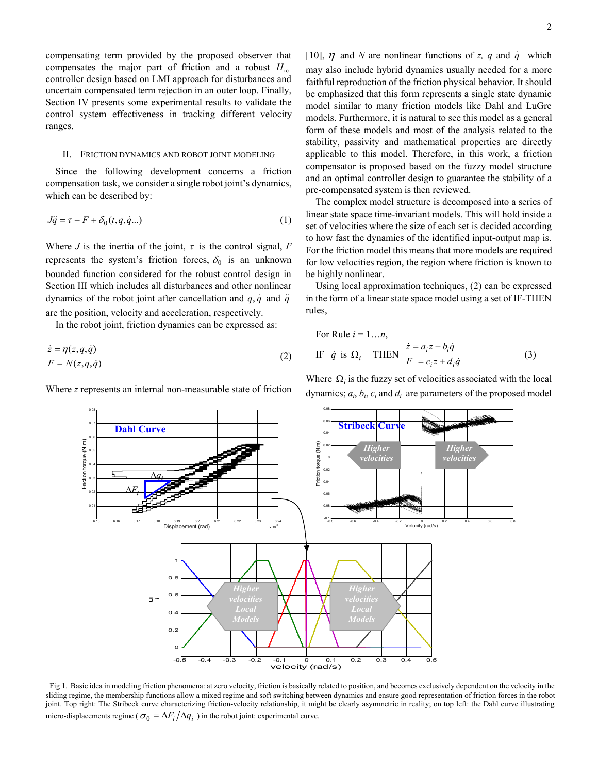compensating term provided by the proposed observer that compensates the major part of friction and a robust  $H_{\infty}$ controller design based on LMI approach for disturbances and uncertain compensated term rejection in an outer loop. Finally, Section IV presents some experimental results to validate the control system effectiveness in tracking different velocity ranges.

## II. FRICTION DYNAMICS AND ROBOT JOINT MODELING

Since the following development concerns a friction compensation task, we consider a single robot joint's dynamics, which can be described by:

$$
J\ddot{q} = \tau - F + \delta_0(t, q, \dot{q}...)
$$
 (1)

Where *J* is the inertia of the joint,  $\tau$  is the control signal,  $F$ represents the system's friction forces,  $\delta_0$  is an unknown bounded function considered for the robust control design in Section III which includes all disturbances and other nonlinear dynamics of the robot joint after cancellation and  $q, \dot{q}$  and  $\ddot{q}$ are the position, velocity and acceleration, respectively.

In the robot joint, friction dynamics can be expressed as:

$$
\begin{aligned}\n\dot{z} &= \eta(z, q, \dot{q}) \\
F &= N(z, q, \dot{q})\n\end{aligned} \tag{2}
$$

Where *z* represents an internal non-measurable state of friction

[10],  $\eta$  and *N* are nonlinear functions of *z*, q and  $\dot{q}$  which may also include hybrid dynamics usually needed for a more faithful reproduction of the friction physical behavior. It should be emphasized that this form represents a single state dynamic model similar to many friction models like Dahl and LuGre models. Furthermore, it is natural to see this model as a general form of these models and most of the analysis related to the stability, passivity and mathematical properties are directly applicable to this model. Therefore, in this work, a friction compensator is proposed based on the fuzzy model structure and an optimal controller design to guarantee the stability of a pre-compensated system is then reviewed.

The complex model structure is decomposed into a series of linear state space time-invariant models. This will hold inside a set of velocities where the size of each set is decided according to how fast the dynamics of the identified input-output map is. For the friction model this means that more models are required for low velocities region, the region where friction is known to be highly nonlinear.

Using local approximation techniques, (2) can be expressed in the form of a linear state space model using a set of IF-THEN rules,

For Rule 
$$
i = 1...n
$$
,  
\nIF  $\dot{q}$  is  $\Omega_i$  THEN  $\frac{\dot{z} = a_i z + b_i \dot{q}}{F = c_i z + d_i \dot{q}}$  (3)

Where  $\Omega_i$  is the fuzzy set of velocities associated with the local dynamics;  $a_i$ ,  $b_i$ ,  $c_i$  and  $d_i$  are parameters of the proposed model



Fig 1. Basic idea in modeling friction phenomena: at zero velocity, friction is basically related to position, and becomes exclusively dependent on the velocity in the sliding regime, the membership functions allow a mixed regime and soft switching between dynamics and ensure good representation of friction forces in the robot joint. Top right: The Stribeck curve characterizing friction-velocity relationship, it might be clearly asymmetric in reality; on top left: the Dahl curve illustrating micro-displacements regime ( $\sigma_0 = \Delta F_i / \Delta q_i$ ) in the robot joint: experimental curve.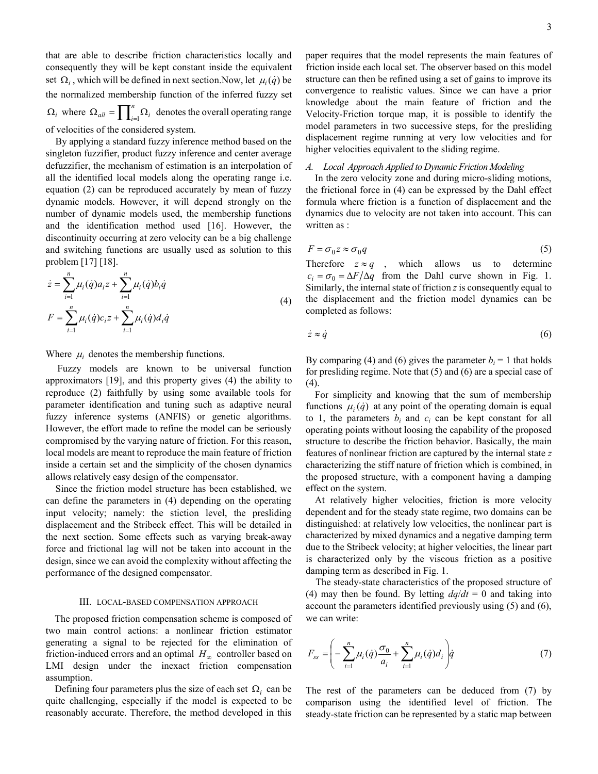that are able to describe friction characteristics locally and consequently they will be kept constant inside the equivalent set  $\Omega_i$ , which will be defined in next section. Now, let  $\mu_i(\dot{q})$  be the normalized membership function of the inferred fuzzy set  $\Omega_i$  where  $\Omega_{all} = \prod_{i=1}^n \Omega_i$  denotes the overall operating range of velocities of the considered system.

By applying a standard fuzzy inference method based on the singleton fuzzifier, product fuzzy inference and center average defuzzifier, the mechanism of estimation is an interpolation of all the identified local models along the operating range i.e. equation (2) can be reproduced accurately by mean of fuzzy dynamic models. However, it will depend strongly on the number of dynamic models used, the membership functions and the identification method used [16]. However, the discontinuity occurring at zero velocity can be a big challenge and switching functions are usually used as solution to this problem [17] [18].

$$
\dot{z} = \sum_{i=1}^{n} \mu_i(\dot{q}) a_i z + \sum_{i=1}^{n} \mu_i(\dot{q}) b_i \dot{q}
$$
  
\n
$$
F = \sum_{i=1}^{n} \mu_i(\dot{q}) c_i z + \sum_{i=1}^{n} \mu_i(\dot{q}) d_i \dot{q}
$$
\n(4)

Where  $\mu_i$  denotes the membership functions.

Fuzzy models are known to be universal function approximators [19], and this property gives (4) the ability to reproduce (2) faithfully by using some available tools for parameter identification and tuning such as adaptive neural fuzzy inference systems (ANFIS) or genetic algorithms. However, the effort made to refine the model can be seriously compromised by the varying nature of friction. For this reason, local models are meant to reproduce the main feature of friction inside a certain set and the simplicity of the chosen dynamics allows relatively easy design of the compensator.

Since the friction model structure has been established, we can define the parameters in (4) depending on the operating input velocity; namely: the stiction level, the presliding displacement and the Stribeck effect. This will be detailed in the next section. Some effects such as varying break-away force and frictional lag will not be taken into account in the design, since we can avoid the complexity without affecting the performance of the designed compensator.

#### III. LOCAL-BASED COMPENSATION APPROACH

The proposed friction compensation scheme is composed of two main control actions: a nonlinear friction estimator generating a signal to be rejected for the elimination of friction-induced errors and an optimal  $H_{\infty}$  controller based on LMI design under the inexact friction compensation assumption.

Defining four parameters plus the size of each set  $\Omega_i$  can be quite challenging, especially if the model is expected to be reasonably accurate. Therefore, the method developed in this

paper requires that the model represents the main features of friction inside each local set. The observer based on this model structure can then be refined using a set of gains to improve its convergence to realistic values. Since we can have a prior knowledge about the main feature of friction and the Velocity-Friction torque map, it is possible to identify the model parameters in two successive steps, for the presliding displacement regime running at very low velocities and for higher velocities equivalent to the sliding regime.

## *A. Local Approach Applied to Dynamic Friction Modeling*

In the zero velocity zone and during micro-sliding motions, the frictional force in (4) can be expressed by the Dahl effect formula where friction is a function of displacement and the dynamics due to velocity are not taken into account. This can written as :

$$
F = \sigma_0 z \approx \sigma_0 q \tag{5}
$$

Therefore  $z \approx q$ , which allows us to determine  $c_i = \sigma_0 = \Delta F / \Delta q$  from the Dahl curve shown in Fig. 1. Similarly, the internal state of friction *z* is consequently equal to the displacement and the friction model dynamics can be completed as follows:

$$
\dot{z} \approx \dot{q} \tag{6}
$$

By comparing (4) and (6) gives the parameter  $b_i = 1$  that holds for presliding regime. Note that (5) and (6) are a special case of  $(4).$ 

For simplicity and knowing that the sum of membership functions  $\mu_i(\dot{q})$  at any point of the operating domain is equal to 1, the parameters  $b_i$  and  $c_i$  can be kept constant for all operating points without loosing the capability of the proposed structure to describe the friction behavior. Basically, the main features of nonlinear friction are captured by the internal state *z* characterizing the stiff nature of friction which is combined, in the proposed structure, with a component having a damping effect on the system.

At relatively higher velocities, friction is more velocity dependent and for the steady state regime, two domains can be distinguished: at relatively low velocities, the nonlinear part is characterized by mixed dynamics and a negative damping term due to the Stribeck velocity; at higher velocities, the linear part is characterized only by the viscous friction as a positive damping term as described in Fig. 1.

The steady-state characteristics of the proposed structure of (4) may then be found. By letting  $dq/dt = 0$  and taking into account the parameters identified previously using (5) and (6), we can write:

$$
F_{ss} = \left(-\sum_{i=1}^{n} \mu_i(\dot{q}) \frac{\sigma_0}{a_i} + \sum_{i=1}^{n} \mu_i(\dot{q}) d_i\right) \dot{q}
$$
(7)

The rest of the parameters can be deduced from (7) by comparison using the identified level of friction. The steady-state friction can be represented by a static map between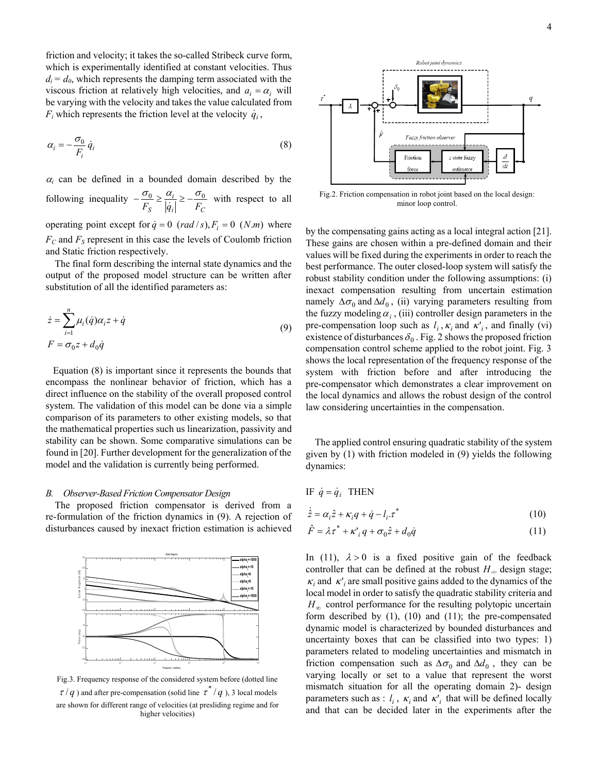friction and velocity; it takes the so-called Stribeck curve form, which is experimentally identified at constant velocities. Thus  $d_i = d_0$ , which represents the damping term associated with the viscous friction at relatively high velocities, and  $a_i = \alpha_i$  will be varying with the velocity and takes the value calculated from  $F_i$  which represents the friction level at the velocity  $\dot{q}_i$ ,

$$
\alpha_i = -\frac{\sigma_0}{F_i} \dot{q}_i \tag{8}
$$

 $\alpha_i$  can be defined in a bounded domain described by the following inequality *i C i*  $-\frac{\sigma_0}{F_S} \ge \frac{\alpha_i}{|\dot{q}_i|} \ge -\frac{\sigma_0}{F_C}$  with respect to all

operating point except for  $\dot{q} = 0$  (*rad* /*s*),  $F_i = 0$  (*N.m*) where  $F_C$  and  $F_S$  represent in this case the levels of Coulomb friction and Static friction respectively.

The final form describing the internal state dynamics and the output of the proposed model structure can be written after substitution of all the identified parameters as:

$$
\dot{z} = \sum_{i=1}^{n} \mu_i(\dot{q})\alpha_i z + \dot{q}
$$
  

$$
F = \sigma_0 z + d_0 \dot{q}
$$
 (9)

 Equation (8) is important since it represents the bounds that encompass the nonlinear behavior of friction, which has a direct influence on the stability of the overall proposed control system. The validation of this model can be done via a simple comparison of its parameters to other existing models, so that the mathematical properties such us linearization, passivity and stability can be shown. Some comparative simulations can be found in [20]. Further development for the generalization of the model and the validation is currently being performed.

#### *B. Observer-Based Friction Compensator Design*

The proposed friction compensator is derived from a re-formulation of the friction dynamics in (9). A rejection of disturbances caused by inexact friction estimation is achieved



Fig.3. Frequency response of the considered system before (dotted line  $\tau$  / *q* ) and after pre-compensation (solid line  $\tau$ <sup>\*</sup> / *q* ), 3 local models are shown for different range of velocities (at presliding regime and for higher velocities)



Fig.2. Friction compensation in robot joint based on the local design: minor loop control.

by the compensating gains acting as a local integral action [21]. These gains are chosen within a pre-defined domain and their values will be fixed during the experiments in order to reach the best performance. The outer closed-loop system will satisfy the robust stability condition under the following assumptions: (i) inexact compensation resulting from uncertain estimation namely  $\Delta \sigma_0$  and  $\Delta d_0$ , (ii) varying parameters resulting from the fuzzy modeling  $\alpha_i$ , (iii) controller design parameters in the pre-compensation loop such as  $l_i$ ,  $\kappa_i$  and  $\kappa'$ , and finally (vi) existence of disturbances  $\delta_0$ . Fig. 2 shows the proposed friction compensation control scheme applied to the robot joint. Fig. 3 shows the local representation of the frequency response of the system with friction before and after introducing the pre-compensator which demonstrates a clear improvement on the local dynamics and allows the robust design of the control law considering uncertainties in the compensation.

The applied control ensuring quadratic stability of the system given by (1) with friction modeled in (9) yields the following dynamics:

IF 
$$
\dot{q} = \dot{q}_i
$$
 THEN

$$
\dot{\hat{z}} = \alpha_i \hat{z} + \kappa_i q + \dot{q} - l_i \tau^*
$$
\n(10)

$$
\hat{F} = \lambda \tau^* + \kappa'_i q + \sigma_0 \hat{z} + d_0 \hat{q}
$$
\n(11)

In (11),  $\lambda > 0$  is a fixed positive gain of the feedback controller that can be defined at the robust  $H_{\infty}$  design stage;  $\kappa_i$  and  $\kappa'_i$  are small positive gains added to the dynamics of the local model in order to satisfy the quadratic stability criteria and  $H_{\infty}$  control performance for the resulting polytopic uncertain form described by (1), (10) and (11); the pre-compensated dynamic model is characterized by bounded disturbances and uncertainty boxes that can be classified into two types: 1) parameters related to modeling uncertainties and mismatch in friction compensation such as  $\Delta \sigma_0$  and  $\Delta d_0$ , they can be varying locally or set to a value that represent the worst mismatch situation for all the operating domain 2)- design parameters such as :  $l_i$ ,  $\kappa_i$  and  $\kappa'_i$  that will be defined locally and that can be decided later in the experiments after the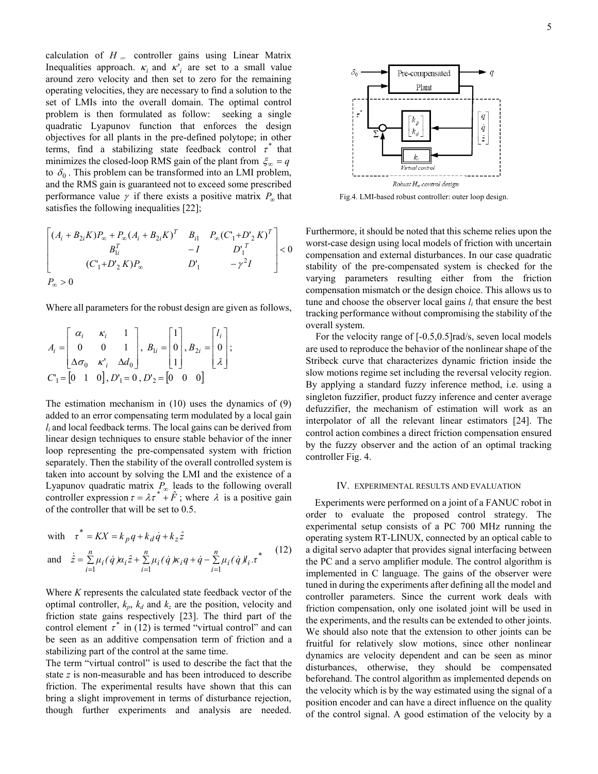calculation of  $H_{\infty}$  controller gains using Linear Matrix Inequalities approach.  $\kappa_i$  and  $\kappa'_i$  are set to a small value around zero velocity and then set to zero for the remaining operating velocities, they are necessary to find a solution to the set of LMIs into the overall domain. The optimal control problem is then formulated as follow: seeking a single quadratic Lyapunov function that enforces the design objectives for all plants in the pre-defined polytope; in other terms, find a stabilizing state feedback control  $\tau^*$  that minimizes the closed-loop RMS gain of the plant from  $\zeta_{\infty} = q$ to  $\delta_0$ . This problem can be transformed into an LMI problem, and the RMS gain is guaranteed not to exceed some prescribed performance value  $\gamma$  if there exists a positive matrix  $P_{\infty}$  that satisfies the following inequalities [22];

$$
\begin{bmatrix}\n(A_i + B_{2i}K)P_{\infty} + P_{\infty}(A_i + B_{2i}K)^T & B_{i1} & P_{\infty}(C_1 + D_2 K)^T \\
B_{1i}^T & -I & D_1^T \\
(C_1 + D_2 K)P_{\infty} & D_1^T & -\gamma^2 I\n\end{bmatrix} < 0
$$

Where all parameters for the robust design are given as follows,

$$
A_{i} = \begin{bmatrix} \alpha_{i} & \kappa_{i} & 1 \\ 0 & 0 & 1 \\ \Delta \sigma_{0} & \kappa'_{i} & \Delta d_{0} \end{bmatrix}, B_{1i} = \begin{bmatrix} 1 \\ 0 \\ 1 \end{bmatrix}, B_{2i} = \begin{bmatrix} l_{i} \\ 0 \\ \lambda \end{bmatrix};
$$
  

$$
C_{1} = \begin{bmatrix} 0 & 1 & 0 \end{bmatrix}, D_{1} = 0, D_{2} = \begin{bmatrix} 0 & 0 & 0 \end{bmatrix}
$$

The estimation mechanism in (10) uses the dynamics of (9) added to an error compensating term modulated by a local gain *li* and local feedback terms. The local gains can be derived from linear design techniques to ensure stable behavior of the inner loop representing the pre-compensated system with friction separately. Then the stability of the overall controlled system is taken into account by solving the LMI and the existence of a Lyapunov quadratic matrix  $P_{\infty}$  leads to the following overall controller expression  $\tau = \lambda \tau^* + \hat{F}$ ; where  $\lambda$  is a positive gain of the controller that will be set to 0.5.

with 
$$
\tau^* = KX = k_p q + k_d \dot{q} + k_z \hat{z}
$$

and 
$$
\dot{\hat{z}} = \sum_{i=1}^{n} \mu_i(\dot{q})\alpha_i \hat{z} + \sum_{i=1}^{n} \mu_i(\dot{q})\kappa_i q + \dot{q} - \sum_{i=1}^{n} \mu_i(\dot{q})\lambda_i \cdot \tau^*
$$
(12)

Where *K* represents the calculated state feedback vector of the optimal controller,  $k_p$ ,  $k_d$  and  $k_z$  are the position, velocity and friction state gains respectively [23]. The third part of the control element  $\tau^*$  in (12) is termed "virtual control" and can be seen as an additive compensation term of friction and a stabilizing part of the control at the same time.

The term "virtual control" is used to describe the fact that the state *z* is non-measurable and has been introduced to describe friction. The experimental results have shown that this can bring a slight improvement in terms of disturbance rejection, though further experiments and analysis are needed.



Fig.4. LMI-based robust controller: outer loop design.

Furthermore, it should be noted that this scheme relies upon the worst-case design using local models of friction with uncertain compensation and external disturbances. In our case quadratic stability of the pre-compensated system is checked for the varying parameters resulting either from the friction compensation mismatch or the design choice. This allows us to tune and choose the observer local gains  $l_i$  that ensure the best tracking performance without compromising the stability of the overall system.

For the velocity range of [-0.5,0.5]rad/s, seven local models are used to reproduce the behavior of the nonlinear shape of the Stribeck curve that characterizes dynamic friction inside the slow motions regime set including the reversal velocity region. By applying a standard fuzzy inference method, i.e. using a singleton fuzzifier, product fuzzy inference and center average defuzzifier, the mechanism of estimation will work as an interpolator of all the relevant linear estimators [24]. The control action combines a direct friction compensation ensured by the fuzzy observer and the action of an optimal tracking controller Fig. 4.

# IV. EXPERIMENTAL RESULTS AND EVALUATION

Experiments were performed on a joint of a FANUC robot in order to evaluate the proposed control strategy. The experimental setup consists of a PC 700 MHz running the operating system RT-LINUX, connected by an optical cable to a digital servo adapter that provides signal interfacing between the PC and a servo amplifier module. The control algorithm is implemented in C language. The gains of the observer were tuned in during the experiments after defining all the model and controller parameters. Since the current work deals with friction compensation, only one isolated joint will be used in the experiments, and the results can be extended to other joints. We should also note that the extension to other joints can be fruitful for relatively slow motions, since other nonlinear dynamics are velocity dependent and can be seen as minor disturbances, otherwise, they should be compensated beforehand. The control algorithm as implemented depends on the velocity which is by the way estimated using the signal of a position encoder and can have a direct influence on the quality of the control signal. A good estimation of the velocity by a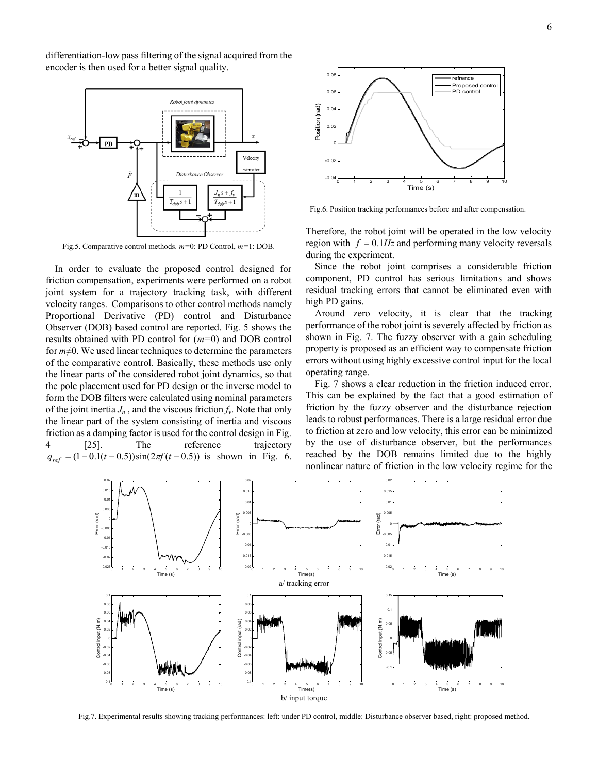differentiation-low pass filtering of the signal acquired from the encoder is then used for a better signal quality.



Fig.5. Comparative control methods. *m=*0: PD Control, *m=*1: DOB.

In order to evaluate the proposed control designed for friction compensation, experiments were performed on a robot joint system for a trajectory tracking task, with different velocity ranges. Comparisons to other control methods namely Proportional Derivative (PD) control and Disturbance Observer (DOB) based control are reported. Fig. 5 shows the results obtained with PD control for (*m=*0) and DOB control for *m*≠0. We used linear techniques to determine the parameters of the comparative control. Basically, these methods use only the linear parts of the considered robot joint dynamics, so that the pole placement used for PD design or the inverse model to form the DOB filters were calculated using nominal parameters of the joint inertia  $J_n$ , and the viscous friction  $f_\nu$ . Note that only the linear part of the system consisting of inertia and viscous friction as a damping factor is used for the control design in Fig. 4 [25]. The reference trajectory  $q_{ref} = (1 - 0.1(t - 0.5))\sin(2\pi f(t - 0.5))$  is shown in Fig. 6.



Fig.6. Position tracking performances before and after compensation.

Therefore, the robot joint will be operated in the low velocity region with *f* = 0.1*Hz* and performing many velocity reversals during the experiment.

Since the robot joint comprises a considerable friction component, PD control has serious limitations and shows residual tracking errors that cannot be eliminated even with high PD gains.

Around zero velocity, it is clear that the tracking performance of the robot joint is severely affected by friction as shown in Fig. 7. The fuzzy observer with a gain scheduling property is proposed as an efficient way to compensate friction errors without using highly excessive control input for the local operating range.

Fig. 7 shows a clear reduction in the friction induced error. This can be explained by the fact that a good estimation of friction by the fuzzy observer and the disturbance rejection leads to robust performances. There is a large residual error due to friction at zero and low velocity, this error can be minimized by the use of disturbance observer, but the performances reached by the DOB remains limited due to the highly nonlinear nature of friction in the low velocity regime for the



Fig.7. Experimental results showing tracking performances: left: under PD control, middle: Disturbance observer based, right: proposed method.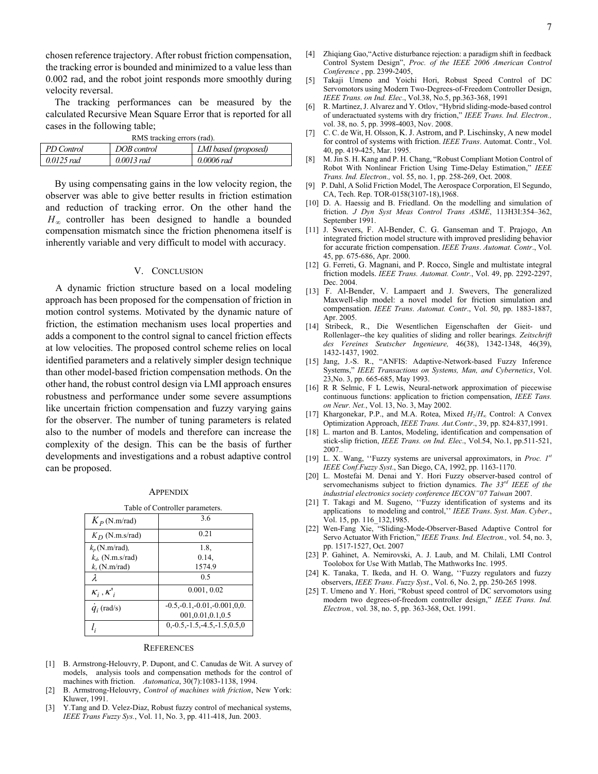chosen reference trajectory. After robust friction compensation, the tracking error is bounded and minimized to a value less than 0.002 rad, and the robot joint responds more smoothly during velocity reversal.

The tracking performances can be measured by the calculated Recursive Mean Square Error that is reported for all cases in the following table;

| RMS tracking errors (rad). |              |                      |
|----------------------------|--------------|----------------------|
| PD Control                 | DOB control  | LMI based (proposed) |
| $0.0125$ rad               | $0.0013$ rad | 0.0006 rad           |

By using compensating gains in the low velocity region, the observer was able to give better results in friction estimation and reduction of tracking error. On the other hand the *H*<sub>∞</sub> controller has been designed to handle a bounded compensation mismatch since the friction phenomena itself is inherently variable and very difficult to model with accuracy.

### V. CONCLUSION

A dynamic friction structure based on a local modeling approach has been proposed for the compensation of friction in motion control systems. Motivated by the dynamic nature of friction, the estimation mechanism uses local properties and adds a component to the control signal to cancel friction effects at low velocities. The proposed control scheme relies on local identified parameters and a relatively simpler design technique than other model-based friction compensation methods. On the other hand, the robust control design via LMI approach ensures robustness and performance under some severe assumptions like uncertain friction compensation and fuzzy varying gains for the observer. The number of tuning parameters is related also to the number of models and therefore can increase the complexity of the design. This can be the basis of further developments and investigations and a robust adaptive control can be proposed.

#### **APPENDIX**

| Table of Controller parameters. |                                                        |  |
|---------------------------------|--------------------------------------------------------|--|
| $K_p$ (N.m/rad)                 | 3.6                                                    |  |
| $K_D$ (N.m.s/rad)               | 0.21                                                   |  |
| $k_p$ (N.m/rad),                | 1.8.                                                   |  |
| $k_d$ , (N.m.s/rad)             | 0.14,                                                  |  |
| $k_z$ (N.m/rad)                 | 1574.9                                                 |  |
| λ                               | 0 <sub>5</sub>                                         |  |
| $K_i, K'_i$                     | 0.001, 0.02                                            |  |
| $\dot{q}_i$ (rad/s)             | $-0.5, -0.1, -0.01, -0.001, 0, 0.$<br>001,0.01,0.1,0.5 |  |
|                                 | $0, -0.5, -1.5, -4.5, -1.5, 0.5, 0$                    |  |

#### **REFERENCES**

- [1] B. Armstrong-Helouvry, P. Dupont, and C. Canudas de Wit. A survey of models, analysis tools and compensation methods for the control of machines with friction. *Automatica*, 30(7):1083-1138, 1994.
- [2] B. Armstrong-Helouvry, *Control of machines with friction*, New York: Kluwer, 1991.
- [3] Y.Tang and D. Velez-Diaz, Robust fuzzy control of mechanical systems, *IEEE Trans Fuzzy Sys.*, Vol. 11, No. 3, pp. 411-418, Jun. 2003.
- [4] Zhiqiang Gao,"Active disturbance rejection: a paradigm shift in feedback Control System Design", *Proc. of the IEEE 2006 American Control Conference* , pp. 2399-2405,
- [5] Takaji Umeno and Yoichi Hori, Robust Speed Control of DC Servomotors using Modern Two-Degrees-of-Freedom Controller Design, *IEEE Trans. on Ind. Elec*., Vol.38, No.5, pp.363-368, 1991
- [6] R. Martinez, J. Alvarez and Y. Otlov, "Hybrid sliding-mode-based control of underactuated systems with dry friction," *IEEE Trans. Ind. Electron.,*  vol. 38, no. 5, pp. 3998-4003, Nov. 2008.
- [7] C. C. de Wit, H. Olsson, K. J. Astrom, and P. Lischinsky, A new model for control of systems with friction. *IEEE Trans*. Automat. Contr., Vol. 40, pp. 419-425, Mar. 1995.
- [8] M. Jin S. H. Kang and P. H. Chang, "Robust Compliant Motion Control of Robot With Nonlinear Friction Using Time-Delay Estimation," *IEEE Trans. Ind. Electron.,* vol. 55, no. 1, pp. 258-269, Oct. 2008.
- [9] P. Dahl, A Solid Friction Model, The Aerospace Corporation, El Segundo, CA, Tech. Rep. TOR-0158(3107-18),1968.
- [10] D. A. Haessig and B. Friedland. On the modelling and simulation of friction. *J Dyn Syst Meas Control Trans ASME*, 113H3I:354–362, September 1991.
- [11] J. Swevers, F. Al-Bender, C. G. Ganseman and T. Prajogo, An integrated friction model structure with improved presliding behavior for accurate friction compensation. *IEEE Trans*. *Automat. Contr*., Vol. 45, pp. 675-686, Apr. 2000.
- [12] G. Ferreti, G. Magnani, and P. Rocco, Single and multistate integral friction models. *IEEE Trans. Automat. Contr.*, Vol. 49, pp. 2292-2297, Dec. 2004.
- [13] F. Al-Bender, V. Lampaert and J. Swevers, The generalized Maxwell-slip model: a novel model for friction simulation and compensation. *IEEE Trans*. *Automat. Contr*., Vol. 50, pp. 1883-1887, Apr. 2005.
- [14] Stribeck, R., Die Wesentlichen Eigenschaften der Gieit- und Rollenlager--the key qualities of sliding and roller bearings. *Zeitschrift des Vereines Seutscher Ingenieure,* 46(38), 1342-1348, 46(39), 1432-1437, 1902.
- [15] Jang, J.-S. R., "ANFIS: Adaptive-Network-based Fuzzy Inference Systems," *IEEE Transactions on Systems, Man, and Cybernetics*, Vol. 23,No. 3, pp. 665-685, May 1993.
- [16] R R Selmic, F L Lewis, Neural-network approximation of piecewise continuous functions: application to friction compensation, *IEEE Tans. on Neur. Net.*, Vol. 13, No. 3, May 2002.
- [17] Khargonekar, P.P., and M.A. Rotea, Mixed *H*<sub>2</sub>/*H*<sub>∞</sub> Control: A Convex Optimization Approach, *IEEE Trans. Aut.Contr*., 39, pp. 824-837,1991.
- [18] L. marton and B. Lantos, Modeling, identification and compensation of stick-slip friction, *IEEE Trans. on Ind. Elec*., Vol.54, No.1, pp.511-521, 2007..
- [19] L. X. Wang, ''Fuzzy systems are universal approximators, in *Proc. 1st IEEE Conf.Fuzzy Syst*., San Diego, CA, 1992, pp. 1163-1170.
- [20] L. Mostefai M. Denai and Y. Hori Fuzzy observer-based control of servomechanisms subject to friction dynamics. *The 33rd IEEE of the industrial electronics society conference IECON"07 Taiwan* 2007.
- [21] T. Takagi and M. Sugeno, ''Fuzzy identification of systems and its applications to modeling and control,'' *IEEE Trans*. *Syst*. *Man*. *Cyber*., Vol. 15, pp. 116\_132,1985.
- [22] Wen-Fang Xie, "Sliding-Mode-Observer-Based Adaptive Control for Servo Actuator With Friction," *IEEE Trans. Ind. Electron.,* vol. 54, no. 3, pp. 1517-1527, Oct. 2007
- [23] P. Gahinet, A. Nemirovski, A. J. Laub, and M. Chilali, LMI Control Toolobox for Use With Matlab, The Mathworks Inc. 1995.
- [24] K. Tanaka, T. Ikeda, and H. O. Wang, ''Fuzzy regulators and fuzzy observers, *IEEE Trans*. *Fuzzy Syst*., Vol. 6, No. 2, pp. 250-265 1998.
- [25] T. Umeno and Y. Hori, "Robust speed control of DC servomotors using modern two degrees-of-freedom controller design," *IEEE Trans. Ind. Electron.,* vol. 38, no. 5, pp. 363-368, Oct. 1991.